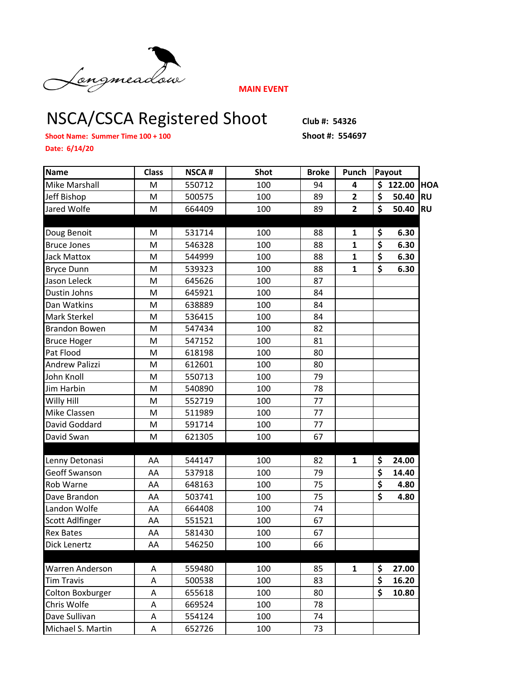

**MAIN EVENT**

## NSCA/CSCA Registered Shoot Club #: 54326

**Shoot Name: Summer Time 100 + 100 Shoot #: 554697**

**Date: 6/14/20**

| <b>Name</b>          | <b>Class</b> | <b>NSCA#</b> | <b>Shot</b> | <b>Broke</b> | Punch          | Payout                          |          |            |
|----------------------|--------------|--------------|-------------|--------------|----------------|---------------------------------|----------|------------|
| Mike Marshall        | M            | 550712       | 100         | 94           | 4              |                                 | \$122.00 | <b>HOA</b> |
| Jeff Bishop          | M            | 500575       | 100         | 89           | $\overline{2}$ | \$                              | 50.40    | <b>RU</b>  |
| Jared Wolfe          | M            | 664409       | 100         | 89           | $\overline{2}$ | $\overline{\boldsymbol{\zeta}}$ | 50.40    | <b>RU</b>  |
|                      |              |              |             |              |                |                                 |          |            |
| Doug Benoit          | М            | 531714       | 100         | 88           | 1              | \$                              | 6.30     |            |
| <b>Bruce Jones</b>   | M            | 546328       | 100         | 88           | $\mathbf{1}$   | $\overline{\boldsymbol{\zeta}}$ | 6.30     |            |
| <b>Jack Mattox</b>   | M            | 544999       | 100         | 88           | $\mathbf{1}$   | $\overline{\boldsymbol{\zeta}}$ | 6.30     |            |
| <b>Bryce Dunn</b>    | M            | 539323       | 100         | 88           | $\mathbf{1}$   | $\overline{\boldsymbol{\zeta}}$ | 6.30     |            |
| Jason Leleck         | M            | 645626       | 100         | 87           |                |                                 |          |            |
| Dustin Johns         | M            | 645921       | 100         | 84           |                |                                 |          |            |
| Dan Watkins          | Μ            | 638889       | 100         | 84           |                |                                 |          |            |
| Mark Sterkel         | M            | 536415       | 100         | 84           |                |                                 |          |            |
| <b>Brandon Bowen</b> | M            | 547434       | 100         | 82           |                |                                 |          |            |
| <b>Bruce Hoger</b>   | M            | 547152       | 100         | 81           |                |                                 |          |            |
| Pat Flood            | M            | 618198       | 100         | 80           |                |                                 |          |            |
| Andrew Palizzi       | M            | 612601       | 100         | 80           |                |                                 |          |            |
| John Knoll           | M            | 550713       | 100         | 79           |                |                                 |          |            |
| Jim Harbin           | M            | 540890       | 100         | 78           |                |                                 |          |            |
| Willy Hill           | M            | 552719       | 100         | 77           |                |                                 |          |            |
| Mike Classen         | M            | 511989       | 100         | 77           |                |                                 |          |            |
| David Goddard        | M            | 591714       | 100         | 77           |                |                                 |          |            |
| David Swan           | M            | 621305       | 100         | 67           |                |                                 |          |            |
|                      |              |              |             |              |                |                                 |          |            |
| Lenny Detonasi       | AA           | 544147       | 100         | 82           | $\mathbf{1}$   | \$                              | 24.00    |            |
| Geoff Swanson        | AA           | 537918       | 100         | 79           |                | $\overline{\boldsymbol{\zeta}}$ | 14.40    |            |
| Rob Warne            | AA           | 648163       | 100         | 75           |                | $\overline{\boldsymbol{\zeta}}$ | 4.80     |            |
| Dave Brandon         | AA           | 503741       | 100         | 75           |                | \$                              | 4.80     |            |
| Landon Wolfe         | AA           | 664408       | 100         | 74           |                |                                 |          |            |
| Scott Adlfinger      | AA           | 551521       | 100         | 67           |                |                                 |          |            |
| <b>Rex Bates</b>     | AA           | 581430       | 100         | 67           |                |                                 |          |            |
| Dick Lenertz         | AA           | 546250       | 100         | 66           |                |                                 |          |            |
| Warren Anderson      | Α            | 559480       | 100         | 85           | 1              | \$                              | 27.00    |            |
| <b>Tim Travis</b>    | A            | 500538       | 100         | 83           |                | \$                              | 16.20    |            |
| Colton Boxburger     | А            | 655618       | 100         | 80           |                | $\overline{\mathsf{s}}$         | 10.80    |            |
| Chris Wolfe          | A            | 669524       | 100         | 78           |                |                                 |          |            |
| Dave Sullivan        | Α            | 554124       | 100         | 74           |                |                                 |          |            |
| Michael S. Martin    | A            | 652726       | 100         | 73           |                |                                 |          |            |